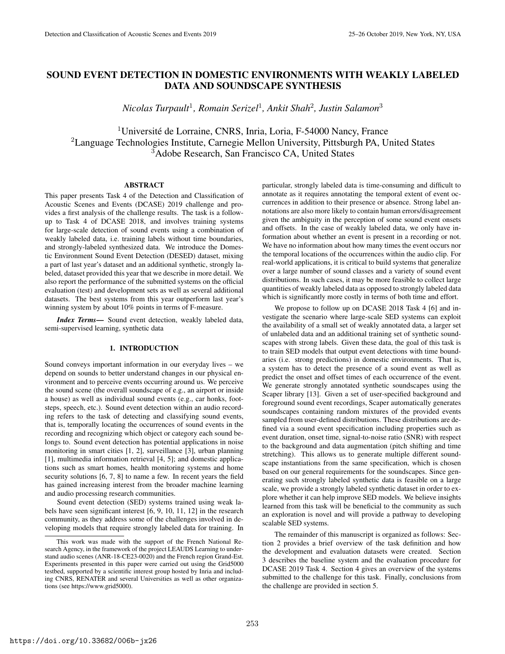# SOUND EVENT DETECTION IN DOMESTIC ENVIRONMENTS WITH WEAKLY LABELED DATA AND SOUNDSCAPE SYNTHESIS

*Nicolas Turpault*<sup>1</sup> *, Romain Serizel*<sup>1</sup> *, Ankit Shah*<sup>2</sup> *, Justin Salamon*<sup>3</sup>

<sup>1</sup>Université de Lorraine, CNRS, Inria, Loria, F-54000 Nancy, France <sup>2</sup>Language Technologies Institute, Carnegie Mellon University, Pittsburgh PA, United States <sup>3</sup>Adobe Research, San Francisco CA, United States

# ABSTRACT

This paper presents Task 4 of the Detection and Classification of Acoustic Scenes and Events (DCASE) 2019 challenge and provides a first analysis of the challenge results. The task is a followup to Task 4 of DCASE 2018, and involves training systems for large-scale detection of sound events using a combination of weakly labeled data, i.e. training labels without time boundaries, and strongly-labeled synthesized data. We introduce the Domestic Environment Sound Event Detection (DESED) dataset, mixing a part of last year's dataset and an additional synthetic, strongly labeled, dataset provided this year that we describe in more detail. We also report the performance of the submitted systems on the official evaluation (test) and development sets as well as several additional datasets. The best systems from this year outperform last year's winning system by about 10% points in terms of F-measure.

*Index Terms*— Sound event detection, weakly labeled data, semi-supervised learning, synthetic data

### 1. INTRODUCTION

Sound conveys important information in our everyday lives – we depend on sounds to better understand changes in our physical environment and to perceive events occurring around us. We perceive the sound scene (the overall soundscape of e.g., an airport or inside a house) as well as individual sound events (e.g., car honks, footsteps, speech, etc.). Sound event detection within an audio recording refers to the task of detecting and classifying sound events, that is, temporally locating the occurrences of sound events in the recording and recognizing which object or category each sound belongs to. Sound event detection has potential applications in noise monitoring in smart cities [1, 2], surveillance [3], urban planning [1], multimedia information retrieval [4, 5]; and domestic applications such as smart homes, health monitoring systems and home security solutions [6, 7, 8] to name a few. In recent years the field has gained increasing interest from the broader machine learning and audio processing research communities.

Sound event detection (SED) systems trained using weak labels have seen significant interest [6, 9, 10, 11, 12] in the research community, as they address some of the challenges involved in developing models that require strongly labeled data for training. In particular, strongly labeled data is time-consuming and difficult to annotate as it requires annotating the temporal extent of event occurrences in addition to their presence or absence. Strong label annotations are also more likely to contain human errors/disagreement given the ambiguity in the perception of some sound event onsets and offsets. In the case of weakly labeled data, we only have information about whether an event is present in a recording or not. We have no information about how many times the event occurs nor the temporal locations of the occurrences within the audio clip. For real-world applications, it is critical to build systems that generalize over a large number of sound classes and a variety of sound event distributions. In such cases, it may be more feasible to collect large quantities of weakly labeled data as opposed to strongly labeled data which is significantly more costly in terms of both time and effort.

We propose to follow up on DCASE 2018 Task 4 [6] and investigate the scenario where large-scale SED systems can exploit the availability of a small set of weakly annotated data, a larger set of unlabeled data and an additional training set of synthetic soundscapes with strong labels. Given these data, the goal of this task is to train SED models that output event detections with time boundaries (i.e. strong predictions) in domestic environments. That is, a system has to detect the presence of a sound event as well as predict the onset and offset times of each occurrence of the event. We generate strongly annotated synthetic soundscapes using the Scaper library [13]. Given a set of user-specified background and foreground sound event recordings, Scaper automatically generates soundscapes containing random mixtures of the provided events sampled from user-defined distributions. These distributions are defined via a sound event specification including properties such as event duration, onset time, signal-to-noise ratio (SNR) with respect to the background and data augmentation (pitch shifting and time stretching). This allows us to generate multiple different soundscape instantiations from the same specification, which is chosen based on our general requirements for the soundscapes. Since generating such strongly labeled synthetic data is feasible on a large scale, we provide a strongly labeled synthetic dataset in order to explore whether it can help improve SED models. We believe insights learned from this task will be beneficial to the community as such an exploration is novel and will provide a pathway to developing scalable SED systems.

The remainder of this manuscript is organized as follows: Section 2 provides a brief overview of the task definition and how the development and evaluation datasets were created. Section 3 describes the baseline system and the evaluation procedure for DCASE 2019 Task 4. Section 4 gives an overview of the systems submitted to the challenge for this task. Finally, conclusions from the challenge are provided in section 5.

This work was made with the support of the French National Research Agency, in the framework of the project LEAUDS Learning to understand audio scenes (ANR-18-CE23-0020) and the French region Grand-Est. Experiments presented in this paper were carried out using the Grid5000 testbed, supported by a scientific interest group hosted by Inria and including CNRS, RENATER and several Universities as well as other organizations (see https://www.grid5000).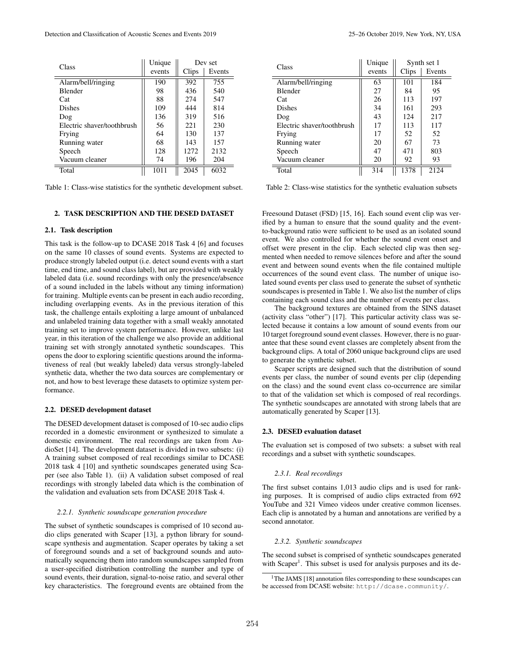| Class                      | Unique | Dev set |        |  |
|----------------------------|--------|---------|--------|--|
|                            | events | Clips   | Events |  |
| Alarm/bell/ringing         | 190    | 392     | 755    |  |
| Blender                    | 98     | 436     | 540    |  |
| Cat                        | 88     | 274     | 547    |  |
| Dishes                     | 109    | 444     | 814    |  |
| Dog                        | 136    | 319     | 516    |  |
| Electric shaver/toothbrush | 56     | 221     | 230    |  |
| Frying                     | 64     | 130     | 137    |  |
| Running water              | 68     | 143     | 157    |  |
| Speech                     | 128    | 1272    | 2132   |  |
| Vacuum cleaner             | 74     | 196     | 204    |  |
| Total                      | 101.   | 2045    | 6032   |  |

Table 1: Class-wise statistics for the synthetic development subset.

## 2. TASK DESCRIPTION AND THE DESED DATASET

### 2.1. Task description

This task is the follow-up to DCASE 2018 Task 4 [6] and focuses on the same 10 classes of sound events. Systems are expected to produce strongly labeled output (i.e. detect sound events with a start time, end time, and sound class label), but are provided with weakly labeled data (i.e. sound recordings with only the presence/absence of a sound included in the labels without any timing information) for training. Multiple events can be present in each audio recording, including overlapping events. As in the previous iteration of this task, the challenge entails exploiting a large amount of unbalanced and unlabeled training data together with a small weakly annotated training set to improve system performance. However, unlike last year, in this iteration of the challenge we also provide an additional training set with strongly annotated synthetic soundscapes. This opens the door to exploring scientific questions around the informativeness of real (but weakly labeled) data versus strongly-labeled synthetic data, whether the two data sources are complementary or not, and how to best leverage these datasets to optimize system performance.

### 2.2. DESED development dataset

The DESED development dataset is composed of 10-sec audio clips recorded in a domestic environment or synthesized to simulate a domestic environment. The real recordings are taken from AudioSet [14]. The development dataset is divided in two subsets: (i) A training subset composed of real recordings similar to DCASE 2018 task 4 [10] and synthetic soundscapes generated using Scaper (see also Table 1). (ii) A validation subset composed of real recordings with strongly labeled data which is the combination of the validation and evaluation sets from DCASE 2018 Task 4.

### *2.2.1. Synthetic soundscape generation procedure*

The subset of synthetic soundscapes is comprised of 10 second audio clips generated with Scaper [13], a python library for soundscape synthesis and augmentation. Scaper operates by taking a set of foreground sounds and a set of background sounds and automatically sequencing them into random soundscapes sampled from a user-specified distribution controlling the number and type of sound events, their duration, signal-to-noise ratio, and several other key characteristics. The foreground events are obtained from the

| Class                      | Unique |       | Synth set 1 |
|----------------------------|--------|-------|-------------|
|                            | events | Clips | Events      |
| Alarm/bell/ringing         | 63     | 101   | 184         |
| <b>Blender</b>             | 27     | 84    | 95          |
| Cat                        | 26     | 113   | 197         |
| <b>Dishes</b>              | 34     | 161   | 293         |
| Dog                        | 43     | 124   | 217         |
| Electric shaver/toothbrush | 17     | 113   | 117         |
| Frying                     | 17     | 52    | 52          |
| Running water              | 20     | 67    | 73          |
| Speech                     | 47     | 471   | 803         |
| Vacuum cleaner             | 20     | 92    | 93          |
| Total                      | 314    | 1378  | 2124        |

Table 2: Class-wise statistics for the synthetic evaluation subsets

Freesound Dataset (FSD) [15, 16]. Each sound event clip was verified by a human to ensure that the sound quality and the eventto-background ratio were sufficient to be used as an isolated sound event. We also controlled for whether the sound event onset and offset were present in the clip. Each selected clip was then segmented when needed to remove silences before and after the sound event and between sound events when the file contained multiple occurrences of the sound event class. The number of unique isolated sound events per class used to generate the subset of synthetic soundscapes is presented in Table 1. We also list the number of clips containing each sound class and the number of events per class.

The background textures are obtained from the SINS dataset (activity class "other") [17]. This particular activity class was selected because it contains a low amount of sound events from our 10 target foreground sound event classes. However, there is no guarantee that these sound event classes are completely absent from the background clips. A total of 2060 unique background clips are used to generate the synthetic subset.

Scaper scripts are designed such that the distribution of sound events per class, the number of sound events per clip (depending on the class) and the sound event class co-occurrence are similar to that of the validation set which is composed of real recordings. The synthetic soundscapes are annotated with strong labels that are automatically generated by Scaper [13].

# 2.3. DESED evaluation dataset

The evaluation set is composed of two subsets: a subset with real recordings and a subset with synthetic soundscapes.

### *2.3.1. Real recordings*

The first subset contains 1,013 audio clips and is used for ranking purposes. It is comprised of audio clips extracted from 692 YouTube and 321 Vimeo videos under creative common licenses. Each clip is annotated by a human and annotations are verified by a second annotator.

#### *2.3.2. Synthetic soundscapes*

The second subset is comprised of synthetic soundscapes generated with Scaper<sup>1</sup>. This subset is used for analysis purposes and its de-

<sup>&</sup>lt;sup>1</sup>The JAMS [18] annotation files corresponding to these soundscapes can be accessed from DCASE website: http://dcase.community/.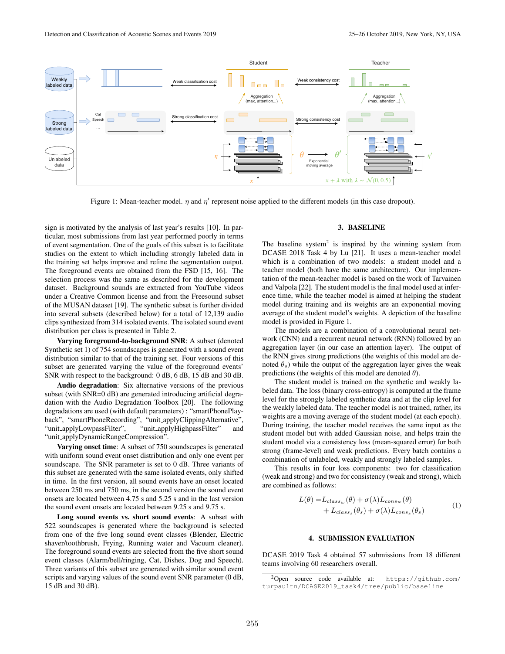

Figure 1: Mean-teacher model.  $\eta$  and  $\eta'$  represent noise applied to the different models (in this case dropout).

sign is motivated by the analysis of last year's results [10]. In particular, most submissions from last year performed poorly in terms of event segmentation. One of the goals of this subset is to facilitate studies on the extent to which including strongly labeled data in the training set helps improve and refine the segmentation output. The foreground events are obtained from the FSD [15, 16]. The selection process was the same as described for the development dataset. Background sounds are extracted from YouTube videos under a Creative Common license and from the Freesound subset of the MUSAN dataset [19]. The synthetic subset is further divided into several subsets (described below) for a total of 12,139 audio clips synthesized from 314 isolated events. The isolated sound event distribution per class is presented in Table 2.

Varying foreground-to-background SNR: A subset (denoted Synthetic set 1) of 754 soundscapes is generated with a sound event distribution similar to that of the training set. Four versions of this subset are generated varying the value of the foreground events' SNR with respect to the background: 0 dB, 6 dB, 15 dB and 30 dB.

Audio degradation: Six alternative versions of the previous subset (with SNR=0 dB) are generated introducing artificial degradation with the Audio Degradation Toolbox [20]. The following degradations are used (with default parameters) : "smartPhonePlayback", "smartPhoneRecording", "unit applyClippingAlternative", "unit applyLowpassFilter", "unit applyHighpassFilter" and "unit applyDynamicRangeCompression".

Varying onset time: A subset of 750 soundscapes is generated with uniform sound event onset distribution and only one event per soundscape. The SNR parameter is set to 0 dB. Three variants of this subset are generated with the same isolated events, only shifted in time. In the first version, all sound events have an onset located between 250 ms and 750 ms, in the second version the sound event onsets are located between 4.75 s and 5.25 s and in the last version the sound event onsets are located between 9.25 s and 9.75 s.

Long sound events vs. short sound events: A subset with 522 soundscapes is generated where the background is selected from one of the five long sound event classes (Blender, Electric shaver/toothbrush, Frying, Running water and Vacuum cleaner). The foreground sound events are selected from the five short sound event classes (Alarm/bell/ringing, Cat, Dishes, Dog and Speech). Three variants of this subset are generated with similar sound event scripts and varying values of the sound event SNR parameter (0 dB, 15 dB and 30 dB).

#### 3. BASELINE

The baseline system<sup>2</sup> is inspired by the winning system from DCASE 2018 Task 4 by Lu [21]. It uses a mean-teacher model which is a combination of two models: a student model and a teacher model (both have the same architecture). Our implementation of the mean-teacher model is based on the work of Tarvainen and Valpola [22]. The student model is the final model used at inference time, while the teacher model is aimed at helping the student model during training and its weights are an exponential moving average of the student model's weights. A depiction of the baseline model is provided in Figure 1.

The models are a combination of a convolutional neural network (CNN) and a recurrent neural network (RNN) followed by an aggregation layer (in our case an attention layer). The output of the RNN gives strong predictions (the weights of this model are denoted  $\theta_s$ ) while the output of the aggregation layer gives the weak predictions (the weights of this model are denoted  $\theta$ ).

The student model is trained on the synthetic and weakly labeled data. The loss (binary cross-entropy) is computed at the frame level for the strongly labeled synthetic data and at the clip level for the weakly labeled data. The teacher model is not trained, rather, its weights are a moving average of the student model (at each epoch). During training, the teacher model receives the same input as the student model but with added Gaussian noise, and helps train the student model via a consistency loss (mean-squared error) for both strong (frame-level) and weak predictions. Every batch contains a combination of unlabeled, weakly and strongly labeled samples.

This results in four loss components: two for classification (weak and strong) and two for consistency (weak and strong), which are combined as follows:

$$
L(\theta) = L_{class_w}(\theta) + \sigma(\lambda) L_{cons_w}(\theta) + L_{class_s}(\theta_s) + \sigma(\lambda) L_{cons_s}(\theta_s)
$$
 (1)

#### 4. SUBMISSION EVALUATION

DCASE 2019 Task 4 obtained 57 submissions from 18 different teams involving 60 researchers overall.

<sup>2</sup>Open source code available at: https://github.com/ turpaultn/DCASE2019\_task4/tree/public/baseline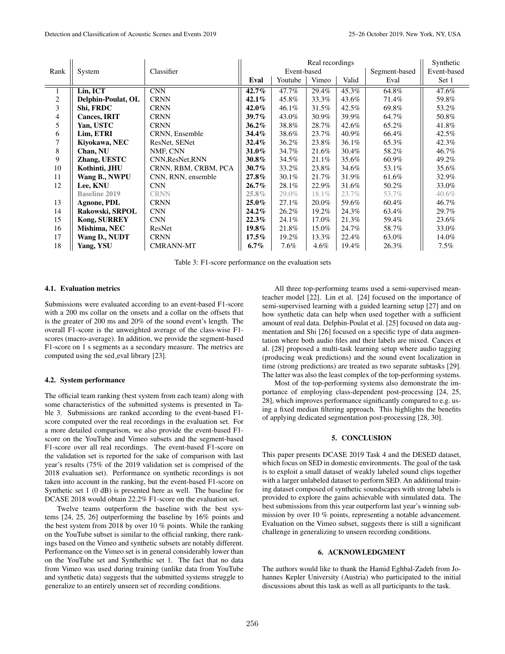|                |                      |                      | Real recordings |             |          |       | Synthetic     |             |
|----------------|----------------------|----------------------|-----------------|-------------|----------|-------|---------------|-------------|
| Rank           | System               | Classifier           |                 | Event-based |          |       | Segment-based | Event-based |
|                |                      |                      | Eval            | Youtube     | Vimeo    | Valid | Eval          | Set 1       |
|                | Lin, ICT             | <b>CNN</b>           | $42.7\%$        | 47.7%       | 29.4%    | 45.3% | 64.8%         | 47.6%       |
| $\overline{c}$ | Delphin-Poulat, OL   | <b>CRNN</b>          | 42.1%           | 45.8%       | 33.3%    | 43.6% | 71.4%         | 59.8%       |
| 3              | Shi, FRDC            | <b>CRNN</b>          | 42.0%           | $46.1\%$    | 31.5%    | 42.5% | 69.8%         | 53.2%       |
| 4              | <b>Cances, IRIT</b>  | <b>CRNN</b>          | 39.7%           | 43.0%       | 30.9%    | 39.9% | 64.7%         | 50.8%       |
| 5              | Yan, USTC            | <b>CRNN</b>          | $36.2\%$        | 38.8%       | 28.7%    | 42.6% | 65.2%         | 41.8%       |
| 6              | Lim, ETRI            | CRNN, Ensemble       | 34.4%           | 38.6%       | 23.7%    | 40.9% | 66.4%         | 42.5%       |
| $\tau$         | Kiyokawa, NEC        | ResNet, SENet        | 32.4%           | 36.2%       | 23.8%    | 36.1% | 65.3%         | 42.3%       |
| 8              | Chan, NU             | NMF, CNN             | 31.0%           | 34.7%       | 21.6%    | 30.4% | 58.2%         | 46.7%       |
| 9              | Zhang, UESTC         | CNN, ResNet, RNN     | 30.8%           | 34.5%       | 21.1%    | 35.6% | 60.9%         | 49.2%       |
| 10             | Kothinti, JHU        | CRNN, RBM, CRBM, PCA | $30.7\%$        | 33.2%       | 23.8%    | 34.6% | 53.1%         | 35.6%       |
| 11             | Wang B., NWPU        | CNN, RNN, ensemble   | 27.8%           | 30.1%       | 21.7%    | 31.9% | 61.6%         | 32.9%       |
| 12             | <b>Lee, KNU</b>      | <b>CNN</b>           | $26.7\%$        | 28.1%       | 22.9%    | 31.6% | 50.2%         | 33.0%       |
|                | <b>Baseline 2019</b> | <b>CRNN</b>          | $25.8\%$        | 29.0%       | 18.1%    | 23.7% | 53.7%         | $40.6\%$    |
| 13             | <b>Agnone, PDL</b>   | <b>CRNN</b>          | $25.0\%$        | 27.1%       | 20.0%    | 59.6% | 60.4%         | 46.7%       |
| 14             | Rakowski, SRPOL      | <b>CNN</b>           | $24.2\%$        | 26.2%       | 19.2%    | 24.3% | 63.4%         | 29.7%       |
| 15             | Kong, SURREY         | <b>CNN</b>           | $22.3\%$        | 24.1%       | $17.0\%$ | 21.3% | 59.4%         | 23.6%       |
| 16             | Mishima, NEC         | ResNet               | 19.8%           | 21.8%       | 15.0%    | 24.7% | 58.7%         | 33.0%       |
| 17             | Wang D., NUDT        | <b>CRNN</b>          | $17.5\%$        | 19.2%       | 13.3%    | 22.4% | 63.0%         | 14.0%       |
| 18             | Yang, YSU            | <b>CMRANN-MT</b>     | $6.7\%$         | 7.6%        | $4.6\%$  | 19.4% | 26.3%         | $7.5\%$     |

Table 3: F1-score performance on the evaluation sets

# 4.1. Evaluation metrics

Submissions were evaluated according to an event-based F1-score with a 200 ms collar on the onsets and a collar on the offsets that is the greater of 200 ms and 20% of the sound event's length. The overall F1-score is the unweighted average of the class-wise F1 scores (macro-average). In addition, we provide the segment-based F1-score on 1 s segments as a secondary measure. The metrics are computed using the sed eval library [23].

### 4.2. System performance

The official team ranking (best system from each team) along with some characteristics of the submitted systems is presented in Table 3. Submissions are ranked according to the event-based F1 score computed over the real recordings in the evaluation set. For a more detailed comparison, we also provide the event-based F1 score on the YouTube and Vimeo subsets and the segment-based F1-score over all real recordings. The event-based F1-score on the validation set is reported for the sake of comparison with last year's results (75% of the 2019 validation set is comprised of the 2018 evaluation set). Performance on synthetic recordings is not taken into account in the ranking, but the event-based F1-score on Synthetic set 1 (0 dB) is presented here as well. The baseline for DCASE 2018 would obtain 22.2% F1-score on the evaluation set.

Twelve teams outperform the baseline with the best systems [24, 25, 26] outperforming the baseline by 16% points and the best system from 2018 by over 10 % points. While the ranking on the YouTube subset is similar to the official ranking, there rankings based on the Vimeo and synthetic subsets are notably different. Performance on the Vimeo set is in general considerably lower than on the YouTube set and Synthethic set 1. The fact that no data from Vimeo was used during training (unlike data from YouTube and synthetic data) suggests that the submitted systems struggle to generalize to an entirely unseen set of recording conditions.

All three top-performing teams used a semi-supervised meanteacher model [22]. Lin et al. [24] focused on the importance of semi-supervised learning with a guided learning setup [27] and on how synthetic data can help when used together with a sufficient amount of real data. Delphin-Poulat et al. [25] focused on data augmentation and Shi [26] focused on a specific type of data augmentation where both audio files and their labels are mixed. Cances et al. [28] proposed a multi-task learning setup where audio tagging (producing weak predictions) and the sound event localization in time (strong predictions) are treated as two separate subtasks [29]. The latter was also the least complex of the top-performing systems.

Most of the top-performing systems also demonstrate the importance of employing class-dependent post-processing [24, 25, 28], which improves performance significantly compared to e.g. using a fixed median filtering approach. This highlights the benefits of applying dedicated segmentation post-processing [28, 30].

# 5. CONCLUSION

This paper presents DCASE 2019 Task 4 and the DESED dataset, which focus on SED in domestic environments. The goal of the task is to exploit a small dataset of weakly labeled sound clips together with a larger unlabeled dataset to perform SED. An additional training dataset composed of synthetic soundscapes with strong labels is provided to explore the gains achievable with simulated data. The best submissions from this year outperform last year's winning submission by over 10 % points, representing a notable advancement. Evaluation on the Vimeo subset, suggests there is still a significant challenge in generalizing to unseen recording conditions.

# 6. ACKNOWLEDGMENT

The authors would like to thank the Hamid Eghbal-Zadeh from Johannes Kepler University (Austria) who participated to the initial discussions about this task as well as all participants to the task.